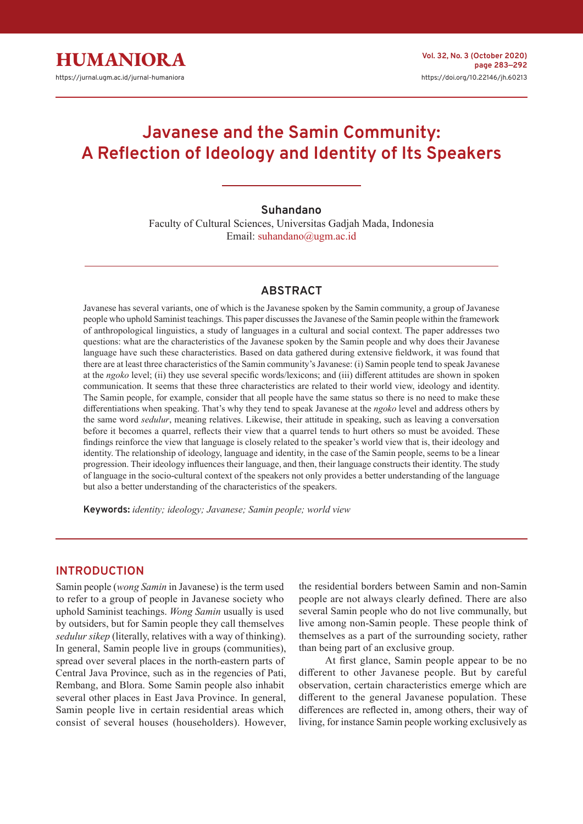# **Javanese and the Samin Community: A Reflection of Ideology and Identity of Its Speakers**

# **Suhandano**

Faculty of Cultural Sciences, Universitas Gadjah Mada, Indonesia Email: suhandano@ugm.ac.id

### **ABSTRACT**

Javanese has several variants, one of which is the Javanese spoken by the Samin community, a group of Javanese people who uphold Saminist teachings. This paper discusses the Javanese of the Samin people within the framework of anthropological linguistics, a study of languages in a cultural and social context. The paper addresses two questions: what are the characteristics of the Javanese spoken by the Samin people and why does their Javanese language have such these characteristics. Based on data gathered during extensive fieldwork, it was found that there are at least three characteristics of the Samin community's Javanese: (i) Samin people tend to speak Javanese at the *ngoko* level; (ii) they use several specific words/lexicons; and (iii) different attitudes are shown in spoken communication. It seems that these three characteristics are related to their world view, ideology and identity. The Samin people, for example, consider that all people have the same status so there is no need to make these differentiations when speaking. That's why they tend to speak Javanese at the *ngoko* level and address others by the same word *sedulur*, meaning relatives. Likewise, their attitude in speaking, such as leaving a conversation before it becomes a quarrel, reflects their view that a quarrel tends to hurt others so must be avoided. These findings reinforce the view that language is closely related to the speaker's world view that is, their ideology and identity. The relationship of ideology, language and identity, in the case of the Samin people, seems to be a linear progression. Their ideology influences their language, and then, their language constructs their identity. The study of language in the socio-cultural context of the speakers not only provides a better understanding of the language but also a better understanding of the characteristics of the speakers.

**Keywords:** *identity; ideology; Javanese; Samin people; world view*

#### **INTRODUCTION**

Samin people (*wong Samin* in Javanese) is the term used to refer to a group of people in Javanese society who uphold Saminist teachings. *Wong Samin* usually is used by outsiders, but for Samin people they call themselves *sedulur sikep* (literally, relatives with a way of thinking). In general, Samin people live in groups (communities), spread over several places in the north-eastern parts of Central Java Province, such as in the regencies of Pati, Rembang, and Blora. Some Samin people also inhabit several other places in East Java Province. In general, Samin people live in certain residential areas which consist of several houses (householders). However, the residential borders between Samin and non-Samin people are not always clearly defined. There are also several Samin people who do not live communally, but live among non-Samin people. These people think of themselves as a part of the surrounding society, rather than being part of an exclusive group.

At first glance, Samin people appear to be no different to other Javanese people. But by careful observation, certain characteristics emerge which are different to the general Javanese population. These differences are reflected in, among others, their way of living, for instance Samin people working exclusively as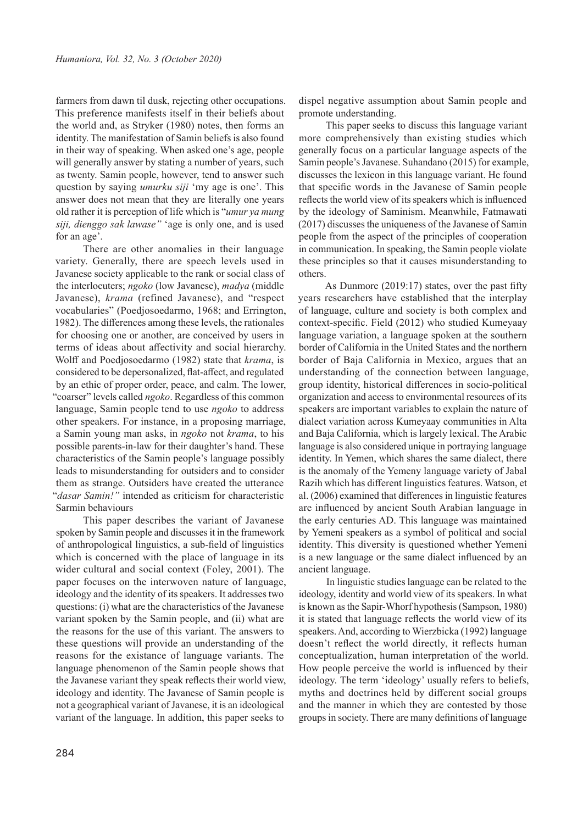farmers from dawn til dusk, rejecting other occupations. This preference manifests itself in their beliefs about the world and, as Stryker (1980) notes, then forms an identity. The manifestation of Samin beliefs is also found in their way of speaking. When asked one's age, people will generally answer by stating a number of years, such as twenty. Samin people, however, tend to answer such question by saying *umurku siji* 'my age is one'. This answer does not mean that they are literally one years old rather it is perception of life which is "*umur ya mung siji, dienggo sak lawase"* 'age is only one, and is used for an age'.

There are other anomalies in their language variety. Generally, there are speech levels used in Javanese society applicable to the rank or social class of the interlocuters; *ngoko* (low Javanese), *madya* (middle Javanese), *krama* (refined Javanese), and "respect vocabularies" (Poedjosoedarmo, 1968; and Errington, 1982). The differences among these levels, the rationales for choosing one or another, are conceived by users in terms of ideas about affectivity and social hierarchy. Wolff and Poedjosoedarmo (1982) state that *krama*, is considered to be depersonalized, flat-affect, and regulated by an ethic of proper order, peace, and calm. The lower, "coarser" levels called *ngoko*. Regardless of this common language, Samin people tend to use *ngoko* to address other speakers. For instance, in a proposing marriage, a Samin young man asks, in *ngoko* not *krama*, to his possible parents-in-law for their daughter's hand. These characteristics of the Samin people's language possibly leads to misunderstanding for outsiders and to consider them as strange. Outsiders have created the utterance "*dasar Samin!"* intended as criticism for characteristic Sarmin behaviours

This paper describes the variant of Javanese spoken by Samin people and discusses it in the framework of anthropological linguistics, a sub-field of linguistics which is concerned with the place of language in its wider cultural and social context (Foley, 2001). The paper focuses on the interwoven nature of language, ideology and the identity of its speakers. It addresses two questions: (i) what are the characteristics of the Javanese variant spoken by the Samin people, and (ii) what are the reasons for the use of this variant. The answers to these questions will provide an understanding of the reasons for the existance of language variants. The language phenomenon of the Samin people shows that the Javanese variant they speak reflects their world view, ideology and identity. The Javanese of Samin people is not a geographical variant of Javanese, it is an ideological variant of the language. In addition, this paper seeks to

dispel negative assumption about Samin people and promote understanding.

This paper seeks to discuss this language variant more comprehensively than existing studies which generally focus on a particular language aspects of the Samin people's Javanese. Suhandano (2015) for example, discusses the lexicon in this language variant. He found that specific words in the Javanese of Samin people reflects the world view of its speakers which is influenced by the ideology of Saminism. Meanwhile, Fatmawati (2017) discusses the uniqueness of the Javanese of Samin people from the aspect of the principles of cooperation in communication. In speaking, the Samin people violate these principles so that it causes misunderstanding to others.

As Dunmore (2019:17) states, over the past fifty years researchers have established that the interplay of language, culture and society is both complex and context-specific. Field (2012) who studied Kumeyaay language variation, a language spoken at the southern border of California in the United States and the northern border of Baja California in Mexico, argues that an understanding of the connection between language, group identity, historical differences in socio-political organization and access to environmental resources of its speakers are important variables to explain the nature of dialect variation across Kumeyaay communities in Alta and Baja California, which is largely lexical. The Arabic language is also considered unique in portraying language identity. In Yemen, which shares the same dialect, there is the anomaly of the Yemeny language variety of Jabal Razih which has different linguistics features. Watson, et al. (2006) examined that differences in linguistic features are influenced by ancient South Arabian language in the early centuries AD. This language was maintained by Yemeni speakers as a symbol of political and social identity. This diversity is questioned whether Yemeni is a new language or the same dialect influenced by an ancient language.

In linguistic studies language can be related to the ideology, identity and world view of its speakers. In what is known as the Sapir-Whorf hypothesis (Sampson, 1980) it is stated that language reflects the world view of its speakers. And, according to Wierzbicka (1992) language doesn't reflect the world directly, it reflects human conceptualization, human interpretation of the world. How people perceive the world is influenced by their ideology. The term 'ideology' usually refers to beliefs, myths and doctrines held by different social groups and the manner in which they are contested by those groups in society. There are many definitions of language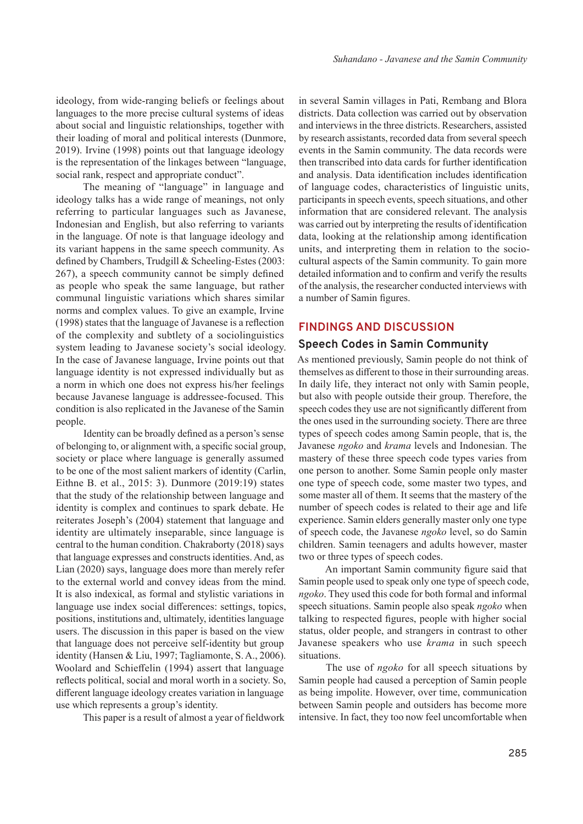ideology, from wide-ranging beliefs or feelings about languages to the more precise cultural systems of ideas about social and linguistic relationships, together with their loading of moral and political interests (Dunmore, 2019). Irvine (1998) points out that language ideology is the representation of the linkages between "language, social rank, respect and appropriate conduct".

The meaning of "language" in language and ideology talks has a wide range of meanings, not only referring to particular languages such as Javanese, Indonesian and English, but also referring to variants in the language. Of note is that language ideology and its variant happens in the same speech community. As defined by Chambers, Trudgill & Scheeling-Estes (2003: 267), a speech community cannot be simply defined as people who speak the same language, but rather communal linguistic variations which shares similar norms and complex values. To give an example, Irvine (1998) states that the language of Javanese is a reflection of the complexity and subtlety of a sociolinguistics system leading to Javanese society's social ideology. In the case of Javanese language, Irvine points out that language identity is not expressed individually but as a norm in which one does not express his/her feelings because Javanese language is addressee-focused. This condition is also replicated in the Javanese of the Samin people.

Identity can be broadly defined as a person's sense of belonging to, or alignment with, a specific social group, society or place where language is generally assumed to be one of the most salient markers of identity (Carlin, Eithne B. et al., 2015: 3). Dunmore (2019:19) states that the study of the relationship between language and identity is complex and continues to spark debate. He reiterates Joseph's (2004) statement that language and identity are ultimately inseparable, since language is central to the human condition. Chakraborty (2018) says that language expresses and constructs identities. And, as Lian (2020) says, language does more than merely refer to the external world and convey ideas from the mind. It is also indexical, as formal and stylistic variations in language use index social differences: settings, topics, positions, institutions and, ultimately, identities language users. The discussion in this paper is based on the view that language does not perceive self-identity but group identity (Hansen & Liu, 1997; Tagliamonte, S. A., 2006). Woolard and Schieffelin (1994) assert that language reflects political, social and moral worth in a society. So, different language ideology creates variation in language use which represents a group's identity.

This paper is a result of almost a year of fieldwork

in several Samin villages in Pati, Rembang and Blora districts. Data collection was carried out by observation and interviews in the three districts. Researchers, assisted by research assistants, recorded data from several speech events in the Samin community. The data records were then transcribed into data cards for further identification and analysis. Data identification includes identification of language codes, characteristics of linguistic units, participants in speech events, speech situations, and other information that are considered relevant. The analysis was carried out by interpreting the results of identification data, looking at the relationship among identification units, and interpreting them in relation to the sociocultural aspects of the Samin community. To gain more detailed information and to confirm and verify the results of the analysis, the researcher conducted interviews with a number of Samin figures.

## **FINDINGS AND DISCUSSION**

## **Speech Codes in Samin Community**

As mentioned previously, Samin people do not think of themselves as different to those in their surrounding areas. In daily life, they interact not only with Samin people, but also with people outside their group. Therefore, the speech codes they use are not significantly different from the ones used in the surrounding society. There are three types of speech codes among Samin people, that is, the Javanese *ngoko* and *krama* levels and Indonesian. The mastery of these three speech code types varies from one person to another. Some Samin people only master one type of speech code, some master two types, and some master all of them. It seems that the mastery of the number of speech codes is related to their age and life experience. Samin elders generally master only one type of speech code, the Javanese *ngoko* level, so do Samin children. Samin teenagers and adults however, master two or three types of speech codes.

An important Samin community figure said that Samin people used to speak only one type of speech code, *ngoko*. They used this code for both formal and informal speech situations. Samin people also speak *ngoko* when talking to respected figures, people with higher social status, older people, and strangers in contrast to other Javanese speakers who use *krama* in such speech situations.

The use of *ngoko* for all speech situations by Samin people had caused a perception of Samin people as being impolite. However, over time, communication between Samin people and outsiders has become more intensive. In fact, they too now feel uncomfortable when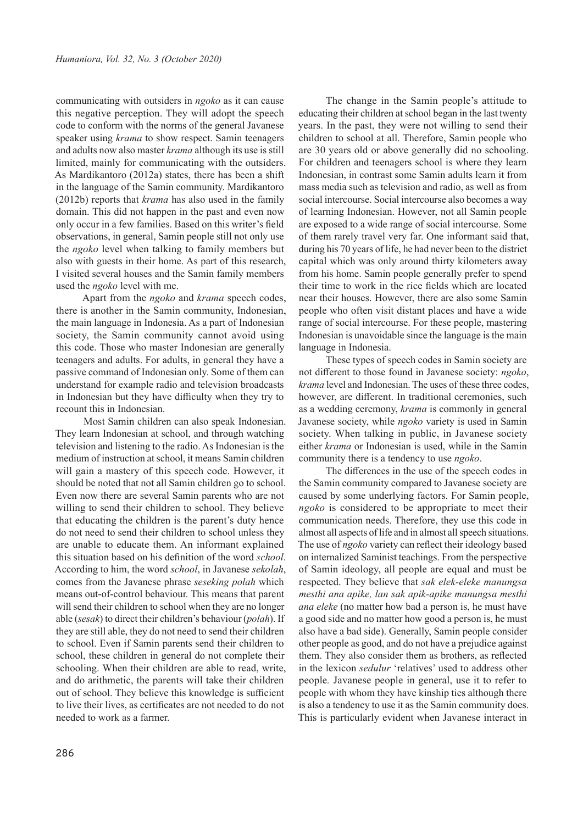communicating with outsiders in *ngoko* as it can cause this negative perception. They will adopt the speech code to conform with the norms of the general Javanese speaker using *krama* to show respect. Samin teenagers and adults now also master *krama* although its use is still limited, mainly for communicating with the outsiders. As Mardikantoro (2012a) states, there has been a shift in the language of the Samin community. Mardikantoro (2012b) reports that *krama* has also used in the family domain. This did not happen in the past and even now only occur in a few families. Based on this writer's field observations, in general, Samin people still not only use the *ngoko* level when talking to family members but also with guests in their home. As part of this research, I visited several houses and the Samin family members used the *ngoko* level with me.

Apart from the *ngoko* and *krama* speech codes, there is another in the Samin community, Indonesian, the main language in Indonesia. As a part of Indonesian society, the Samin community cannot avoid using this code. Those who master Indonesian are generally teenagers and adults. For adults, in general they have a passive command of Indonesian only. Some of them can understand for example radio and television broadcasts in Indonesian but they have difficulty when they try to recount this in Indonesian.

Most Samin children can also speak Indonesian. They learn Indonesian at school, and through watching television and listening to the radio. As Indonesian is the medium of instruction at school, it means Samin children will gain a mastery of this speech code. However, it should be noted that not all Samin children go to school. Even now there are several Samin parents who are not willing to send their children to school. They believe that educating the children is the parent's duty hence do not need to send their children to school unless they are unable to educate them. An informant explained this situation based on his definition of the word *school*. According to him, the word *school*, in Javanese *sekolah*, comes from the Javanese phrase *seseking polah* which means out-of-control behaviour. This means that parent will send their children to school when they are no longer able (*sesak*) to direct their children's behaviour (*polah*). If they are still able, they do not need to send their children to school. Even if Samin parents send their children to school, these children in general do not complete their schooling. When their children are able to read, write, and do arithmetic, the parents will take their children out of school. They believe this knowledge is sufficient to live their lives, as certificates are not needed to do not needed to work as a farmer.

The change in the Samin people's attitude to educating their children at school began in the last twenty years. In the past, they were not willing to send their children to school at all. Therefore, Samin people who are 30 years old or above generally did no schooling. For children and teenagers school is where they learn Indonesian, in contrast some Samin adults learn it from mass media such as television and radio, as well as from social intercourse. Social intercourse also becomes a way of learning Indonesian. However, not all Samin people are exposed to a wide range of social intercourse. Some of them rarely travel very far. One informant said that, during his 70 years of life, he had never been to the district capital which was only around thirty kilometers away from his home. Samin people generally prefer to spend their time to work in the rice fields which are located near their houses. However, there are also some Samin people who often visit distant places and have a wide range of social intercourse. For these people, mastering Indonesian is unavoidable since the language is the main language in Indonesia.

These types of speech codes in Samin society are not different to those found in Javanese society: *ngoko*, *krama* level and Indonesian. The uses of these three codes, however, are different. In traditional ceremonies, such as a wedding ceremony, *krama* is commonly in general Javanese society, while *ngoko* variety is used in Samin society. When talking in public, in Javanese society either *krama* or Indonesian is used, while in the Samin community there is a tendency to use *ngoko*.

The differences in the use of the speech codes in the Samin community compared to Javanese society are caused by some underlying factors. For Samin people, *ngoko* is considered to be appropriate to meet their communication needs. Therefore, they use this code in almost all aspects of life and in almost all speech situations. The use of *ngoko* variety can reflect their ideology based on internalized Saminist teachings. From the perspective of Samin ideology, all people are equal and must be respected. They believe that *sak elek-eleke manungsa mesthi ana apike, lan sak apik-apike manungsa mesthi ana eleke* (no matter how bad a person is, he must have a good side and no matter how good a person is, he must also have a bad side). Generally, Samin people consider other people as good, and do not have a prejudice against them. They also consider them as brothers, as reflected in the lexicon *sedulur* 'relatives' used to address other people*.* Javanese people in general, use it to refer to people with whom they have kinship ties although there is also a tendency to use it as the Samin community does. This is particularly evident when Javanese interact in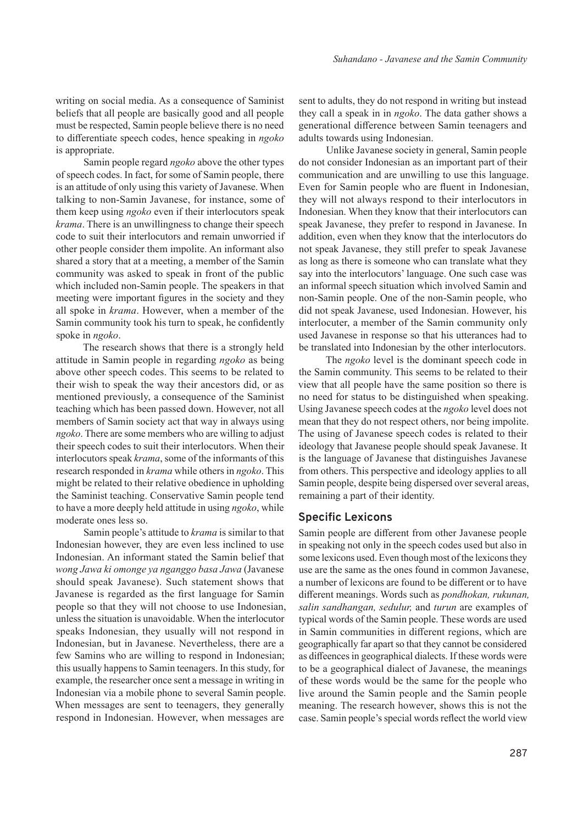writing on social media. As a consequence of Saminist beliefs that all people are basically good and all people must be respected, Samin people believe there is no need to differentiate speech codes, hence speaking in *ngoko*  is appropriate.

Samin people regard *ngoko* above the other types of speech codes. In fact, for some of Samin people, there is an attitude of only using this variety of Javanese. When talking to non-Samin Javanese, for instance, some of them keep using *ngoko* even if their interlocutors speak *krama*. There is an unwillingness to change their speech code to suit their interlocutors and remain unworried if other people consider them impolite. An informant also shared a story that at a meeting, a member of the Samin community was asked to speak in front of the public which included non-Samin people. The speakers in that meeting were important figures in the society and they all spoke in *krama*. However, when a member of the Samin community took his turn to speak, he confidently spoke in *ngoko*.

The research shows that there is a strongly held attitude in Samin people in regarding *ngoko* as being above other speech codes. This seems to be related to their wish to speak the way their ancestors did, or as mentioned previously, a consequence of the Saminist teaching which has been passed down. However, not all members of Samin society act that way in always using *ngoko*. There are some members who are willing to adjust their speech codes to suit their interlocutors. When their interlocutors speak *krama*, some of the informants of this research responded in *krama* while others in *ngoko*. This might be related to their relative obedience in upholding the Saminist teaching. Conservative Samin people tend to have a more deeply held attitude in using *ngoko*, while moderate ones less so.

Samin people's attitude to *krama* is similar to that Indonesian however, they are even less inclined to use Indonesian. An informant stated the Samin belief that *wong Jawa ki omonge ya nganggo basa Jawa* (Javanese should speak Javanese). Such statement shows that Javanese is regarded as the first language for Samin people so that they will not choose to use Indonesian, unless the situation is unavoidable. When the interlocutor speaks Indonesian, they usually will not respond in Indonesian, but in Javanese. Nevertheless, there are a few Samins who are willing to respond in Indonesian; this usually happens to Samin teenagers. In this study, for example, the researcher once sent a message in writing in Indonesian via a mobile phone to several Samin people. When messages are sent to teenagers, they generally respond in Indonesian. However, when messages are

sent to adults, they do not respond in writing but instead they call a speak in in *ngoko*. The data gather shows a generational difference between Samin teenagers and adults towards using Indonesian.

Unlike Javanese society in general, Samin people do not consider Indonesian as an important part of their communication and are unwilling to use this language. Even for Samin people who are fluent in Indonesian, they will not always respond to their interlocutors in Indonesian. When they know that their interlocutors can speak Javanese, they prefer to respond in Javanese. In addition, even when they know that the interlocutors do not speak Javanese, they still prefer to speak Javanese as long as there is someone who can translate what they say into the interlocutors' language. One such case was an informal speech situation which involved Samin and non-Samin people. One of the non-Samin people, who did not speak Javanese, used Indonesian. However, his interlocuter, a member of the Samin community only used Javanese in response so that his utterances had to be translated into Indonesian by the other interlocutors.

The *ngoko* level is the dominant speech code in the Samin community. This seems to be related to their view that all people have the same position so there is no need for status to be distinguished when speaking. Using Javanese speech codes at the *ngoko* level does not mean that they do not respect others, nor being impolite. The using of Javanese speech codes is related to their ideology that Javanese people should speak Javanese. It is the language of Javanese that distinguishes Javanese from others. This perspective and ideology applies to all Samin people, despite being dispersed over several areas, remaining a part of their identity.

#### **Specific Lexicons**

Samin people are different from other Javanese people in speaking not only in the speech codes used but also in some lexicons used. Even though most of the lexicons they use are the same as the ones found in common Javanese, a number of lexicons are found to be different or to have different meanings. Words such as *pondhokan, rukunan, salin sandhangan, sedulur,* and *turun* are examples of typical words of the Samin people. These words are used in Samin communities in different regions, which are geographically far apart so that they cannot be considered as diffeences in geographical dialects. If these words were to be a geographical dialect of Javanese, the meanings of these words would be the same for the people who live around the Samin people and the Samin people meaning. The research however, shows this is not the case. Samin people's special words reflect the world view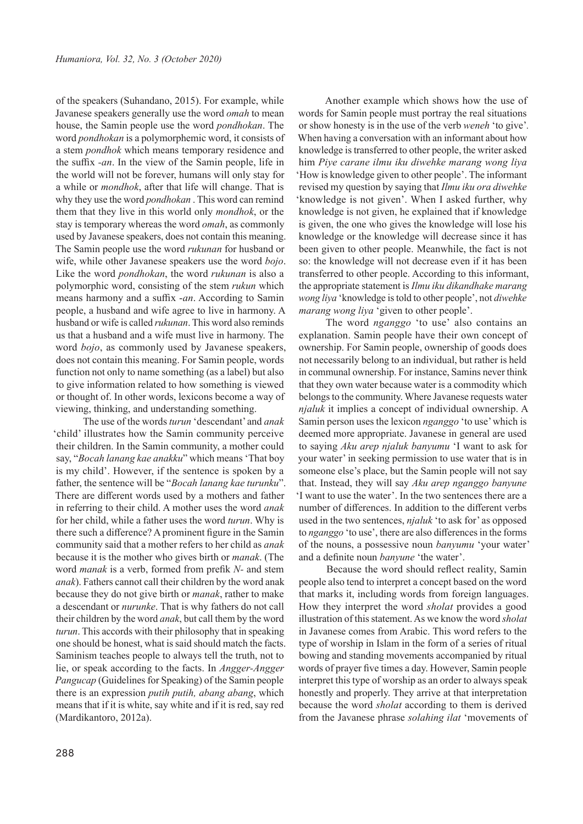of the speakers (Suhandano, 2015). For example, while Javanese speakers generally use the word *omah* to mean house, the Samin people use the word *pondhokan*. The word *pondhokan* is a polymorphemic word, it consists of a stem *pondhok* which means temporary residence and the suffix *-an*. In the view of the Samin people, life in the world will not be forever, humans will only stay for a while or *mondhok*, after that life will change. That is why they use the word *pondhokan* . This word can remind them that they live in this world only *mondhok*, or the stay is temporary whereas the word *omah*, as commonly used by Javanese speakers, does not contain this meaning. The Samin people use the word *rukunan* for husband or wife, while other Javanese speakers use the word *bojo*. Like the word *pondhokan*, the word *rukunan* is also a polymorphic word, consisting of the stem *rukun* which means harmony and a suffix -*an*. According to Samin people, a husband and wife agree to live in harmony. A husband or wife is called *rukunan*. This word also reminds us that a husband and a wife must live in harmony. The word *bojo*, as commonly used by Javanese speakers, does not contain this meaning. For Samin people, words function not only to name something (as a label) but also to give information related to how something is viewed or thought of. In other words, lexicons become a way of viewing, thinking, and understanding something.

The use of the words *turun* 'descendant' and *anak* 'child' illustrates how the Samin community perceive their children. In the Samin community, a mother could say, "*Bocah lanang kae anakku*" which means 'That boy is my child'. However, if the sentence is spoken by a father, the sentence will be "*Bocah lanang kae turunku*". There are different words used by a mothers and father in referring to their child. A mother uses the word *anak*  for her child, while a father uses the word *turun*. Why is there such a difference? A prominent figure in the Samin community said that a mother refers to her child as *anak* because it is the mother who gives birth or *manak*. (The word *manak* is a verb, formed from prefik *N-* and stem *anak*). Fathers cannot call their children by the word anak because they do not give birth or *manak*, rather to make a descendant or *nurunke*. That is why fathers do not call their children by the word *anak*, but call them by the word *turun*. This accords with their philosophy that in speaking one should be honest, what is said should match the facts. Saminism teaches people to always tell the truth, not to lie, or speak according to the facts. In *Angger-Angger Pangucap* (Guidelines for Speaking) of the Samin people there is an expression *putih putih, abang abang*, which means that if it is white, say white and if it is red, say red (Mardikantoro, 2012a).

Another example which shows how the use of words for Samin people must portray the real situations or show honesty is in the use of the verb *weneh* 'to give'*.*  When having a conversation with an informant about how knowledge is transferred to other people, the writer asked him *Piye carane ilmu iku diwehke marang wong liya* 'How is knowledge given to other people'. The informant revised my question by saying that *Ilmu iku ora diwehke* 'knowledge is not given'. When I asked further, why knowledge is not given, he explained that if knowledge is given, the one who gives the knowledge will lose his knowledge or the knowledge will decrease since it has been given to other people. Meanwhile, the fact is not so: the knowledge will not decrease even if it has been transferred to other people. According to this informant, the appropriate statement is *Ilmu iku dikandhake marang wong liya* 'knowledge is told to other people', not *diwehke marang wong liya* 'given to other people'.

The word *nganggo* 'to use' also contains an explanation. Samin people have their own concept of ownership. For Samin people, ownership of goods does not necessarily belong to an individual, but rather is held in communal ownership. For instance, Samins never think that they own water because water is a commodity which belongs to the community. Where Javanese requests water *njaluk* it implies a concept of individual ownership. A Samin person uses the lexicon *nganggo* 'to use' which is deemed more appropriate. Javanese in general are used to saying *Aku arep njaluk banyumu* 'I want to ask for your water' in seeking permission to use water that is in someone else's place, but the Samin people will not say that. Instead, they will say *Aku arep nganggo banyune*  'I want to use the water'. In the two sentences there are a number of differences. In addition to the different verbs used in the two sentences, *njaluk* 'to ask for' as opposed to *nganggo* 'to use', there are also differences in the forms of the nouns, a possessive noun *banyumu* 'your water' and a definite noun *banyune* 'the water'.

Because the word should reflect reality, Samin people also tend to interpret a concept based on the word that marks it, including words from foreign languages. How they interpret the word *sholat* provides a good illustration of this statement. As we know the word *sholat*  in Javanese comes from Arabic. This word refers to the type of worship in Islam in the form of a series of ritual bowing and standing movements accompanied by ritual words of prayer five times a day. However, Samin people interpret this type of worship as an order to always speak honestly and properly. They arrive at that interpretation because the word *sholat* according to them is derived from the Javanese phrase *solahing ilat* 'movements of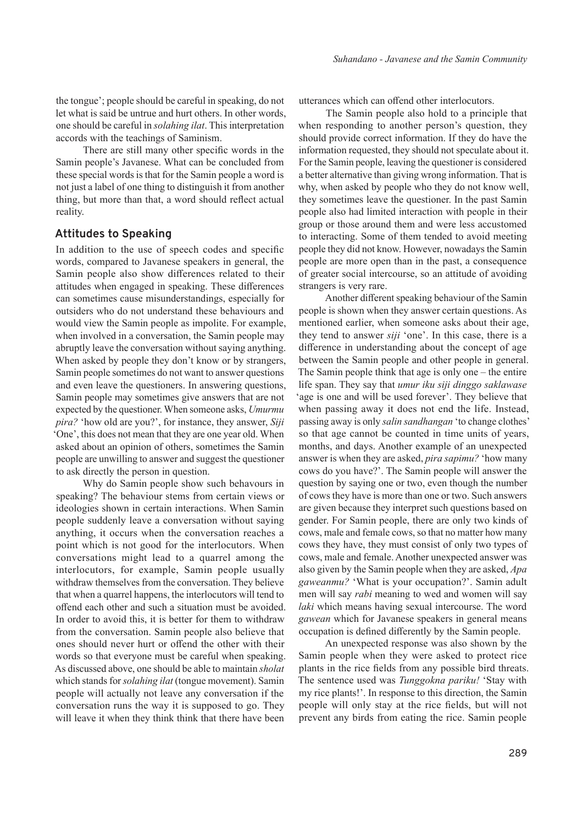the tongue'; people should be careful in speaking, do not let what is said be untrue and hurt others. In other words, one should be careful in *solahing ilat*. This interpretation accords with the teachings of Saminism.

There are still many other specific words in the Samin people's Javanese. What can be concluded from these special words is that for the Samin people a word is not just a label of one thing to distinguish it from another thing, but more than that, a word should reflect actual reality.

#### **Attitudes to Speaking**

In addition to the use of speech codes and specific words, compared to Javanese speakers in general, the Samin people also show differences related to their attitudes when engaged in speaking. These differences can sometimes cause misunderstandings, especially for outsiders who do not understand these behaviours and would view the Samin people as impolite. For example, when involved in a conversation, the Samin people may abruptly leave the conversation without saying anything. When asked by people they don't know or by strangers, Samin people sometimes do not want to answer questions and even leave the questioners. In answering questions, Samin people may sometimes give answers that are not expected by the questioner. When someone asks, *Umurmu pira?* 'how old are you?', for instance, they answer, *Siji*  'One', this does not mean that they are one year old. When asked about an opinion of others, sometimes the Samin people are unwilling to answer and suggest the questioner to ask directly the person in question.

Why do Samin people show such behavours in speaking? The behaviour stems from certain views or ideologies shown in certain interactions. When Samin people suddenly leave a conversation without saying anything, it occurs when the conversation reaches a point which is not good for the interlocutors. When conversations might lead to a quarrel among the interlocutors, for example, Samin people usually withdraw themselves from the conversation. They believe that when a quarrel happens, the interlocutors will tend to offend each other and such a situation must be avoided. In order to avoid this, it is better for them to withdraw from the conversation. Samin people also believe that ones should never hurt or offend the other with their words so that everyone must be careful when speaking. As discussed above, one should be able to maintain *sholat* which stands for *solahing ilat* (tongue movement). Samin people will actually not leave any conversation if the conversation runs the way it is supposed to go. They will leave it when they think think that there have been

utterances which can offend other interlocutors.

The Samin people also hold to a principle that when responding to another person's question, they should provide correct information. If they do have the information requested, they should not speculate about it. For the Samin people, leaving the questioner is considered a better alternative than giving wrong information. That is why, when asked by people who they do not know well, they sometimes leave the questioner. In the past Samin people also had limited interaction with people in their group or those around them and were less accustomed to interacting. Some of them tended to avoid meeting people they did not know. However, nowadays the Samin people are more open than in the past, a consequence of greater social intercourse, so an attitude of avoiding strangers is very rare.

Another different speaking behaviour of the Samin people is shown when they answer certain questions. As mentioned earlier, when someone asks about their age, they tend to answer *siji* 'one'. In this case, there is a difference in understanding about the concept of age between the Samin people and other people in general. The Samin people think that age is only one  $-$  the entire life span. They say that *umur iku siji dinggo saklawase* 'age is one and will be used forever'. They believe that when passing away it does not end the life. Instead, passing away is only *salin sandhangan* 'to change clothes' so that age cannot be counted in time units of years, months, and days. Another example of an unexpected answer is when they are asked, *pira sapimu?* 'how many cows do you have?'. The Samin people will answer the question by saying one or two, even though the number of cows they have is more than one or two. Such answers are given because they interpret such questions based on gender. For Samin people, there are only two kinds of cows, male and female cows, so that no matter how many cows they have, they must consist of only two types of cows, male and female. Another unexpected answer was also given by the Samin people when they are asked, *Apa gaweanmu?* 'What is your occupation?'. Samin adult men will say *rabi* meaning to wed and women will say *laki* which means having sexual intercourse. The word *gawean* which for Javanese speakers in general means occupation is defined differently by the Samin people.

An unexpected response was also shown by the Samin people when they were asked to protect rice plants in the rice fields from any possible bird threats. The sentence used was *Tunggokna pariku!* 'Stay with my rice plants!'. In response to this direction, the Samin people will only stay at the rice fields, but will not prevent any birds from eating the rice. Samin people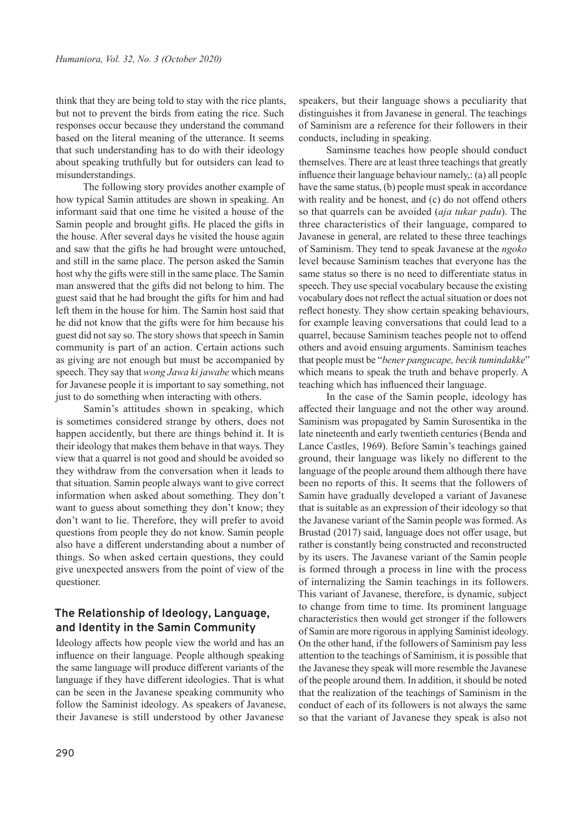think that they are being told to stay with the rice plants, but not to prevent the birds from eating the rice. Such responses occur because they understand the command based on the literal meaning of the utterance. It seems that such understanding has to do with their ideology about speaking truthfully but for outsiders can lead to misunderstandings.

The following story provides another example of how typical Samin attitudes are shown in speaking. An informant said that one time he visited a house of the Samin people and brought gifts. He placed the gifts in the house. After several days he visited the house again and saw that the gifts he had brought were untouched, and still in the same place. The person asked the Samin host why the gifts were still in the same place. The Samin man answered that the gifts did not belong to him. The guest said that he had brought the gifts for him and had left them in the house for him. The Samin host said that he did not know that the gifts were for him because his guest did not say so. The story shows that speech in Samin community is part of an action. Certain actions such as giving are not enough but must be accompanied by speech. They say that *wong Jawa ki jawabe* which means for Javanese people it is important to say something, not just to do something when interacting with others.

Samin's attitudes shown in speaking, which is sometimes considered strange by others, does not happen accidently, but there are things behind it. It is their ideology that makes them behave in that ways. They view that a quarrel is not good and should be avoided so they withdraw from the conversation when it leads to that situation. Samin people always want to give correct information when asked about something. They don't want to guess about something they don't know; they don't want to lie. Therefore, they will prefer to avoid questions from people they do not know. Samin people also have a different understanding about a number of things. So when asked certain questions, they could give unexpected answers from the point of view of the questioner.

# **The Relationship of Ideology, Language, and Identity in the Samin Community**

Ideology affects how people view the world and has an influence on their language. People although speaking the same language will produce different variants of the language if they have different ideologies. That is what can be seen in the Javanese speaking community who follow the Saminist ideology. As speakers of Javanese, their Javanese is still understood by other Javanese

speakers, but their language shows a peculiarity that distinguishes it from Javanese in general. The teachings of Saminism are a reference for their followers in their conducts, including in speaking.

Saminsme teaches how people should conduct themselves. There are at least three teachings that greatly influence their language behaviour namely,: (a) all people have the same status, (b) people must speak in accordance with reality and be honest, and (c) do not offend others so that quarrels can be avoided (*aja tukar padu*). The three characteristics of their language, compared to Javanese in general, are related to these three teachings of Saminism. They tend to speak Javanese at the *ngoko* level because Saminism teaches that everyone has the same status so there is no need to differentiate status in speech. They use special vocabulary because the existing vocabulary does not reflect the actual situation or does not reflect honesty. They show certain speaking behaviours, for example leaving conversations that could lead to a quarrel, because Saminism teaches people not to offend others and avoid ensuing arguments. Saminism teaches that people must be "*bener pangucape, becik tumindakke*" which means to speak the truth and behave properly. A teaching which has influenced their language.

In the case of the Samin people, ideology has affected their language and not the other way around. Saminism was propagated by Samin Surosentika in the late nineteenth and early twentieth centuries (Benda and Lance Castles, 1969). Before Samin's teachings gained ground, their language was likely no different to the language of the people around them although there have been no reports of this. It seems that the followers of Samin have gradually developed a variant of Javanese that is suitable as an expression of their ideology so that the Javanese variant of the Samin people was formed. As Brustad (2017) said, language does not offer usage, but rather is constantly being constructed and reconstructed by its users. The Javanese variant of the Samin people is formed through a process in line with the process of internalizing the Samin teachings in its followers. This variant of Javanese, therefore, is dynamic, subject to change from time to time. Its prominent language characteristics then would get stronger if the followers of Samin are more rigorous in applying Saminist ideology. On the other hand, if the followers of Saminism pay less attention to the teachings of Saminism, it is possible that the Javanese they speak will more resemble the Javanese of the people around them. In addition, it should be noted that the realization of the teachings of Saminism in the conduct of each of its followers is not always the same so that the variant of Javanese they speak is also not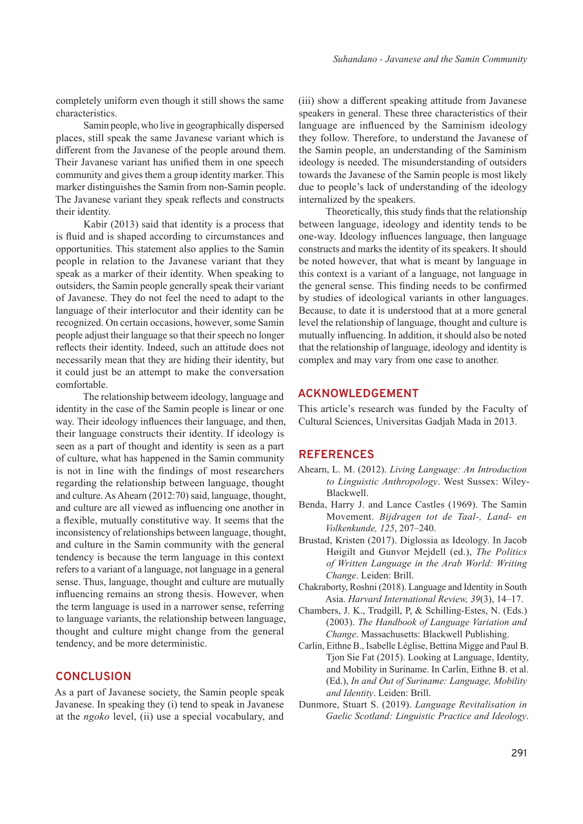completely uniform even though it still shows the same characteristics.

Samin people, who live in geographically dispersed places, still speak the same Javanese variant which is different from the Javanese of the people around them. Their Javanese variant has unified them in one speech community and gives them a group identity marker. This marker distinguishes the Samin from non-Samin people. The Javanese variant they speak reflects and constructs their identity.

Kabir (2013) said that identity is a process that is fluid and is shaped according to circumstances and opportunities. This statement also applies to the Samin people in relation to the Javanese variant that they speak as a marker of their identity. When speaking to outsiders, the Samin people generally speak their variant of Javanese. They do not feel the need to adapt to the language of their interlocutor and their identity can be recognized. On certain occasions, however, some Samin people adjust their language so that their speech no longer reflects their identity. Indeed, such an attitude does not necessarily mean that they are hiding their identity, but it could just be an attempt to make the conversation comfortable.

The relationship betweem ideology, language and identity in the case of the Samin people is linear or one way. Their ideology influences their language, and then, their language constructs their identity. If ideology is seen as a part of thought and identity is seen as a part of culture, what has happened in the Samin community is not in line with the findings of most researchers regarding the relationship between language, thought and culture. As Ahearn (2012:70) said, language, thought, and culture are all viewed as influencing one another in a flexible, mutually constitutive way. It seems that the inconsistency of relationships between language, thought, and culture in the Samin community with the general tendency is because the term language in this context refers to a variant of a language, not language in a general sense. Thus, language, thought and culture are mutually influencing remains an strong thesis. However, when the term language is used in a narrower sense, referring to language variants, the relationship between language, thought and culture might change from the general tendency, and be more deterministic.

#### **CONCLUSION**

As a part of Javanese society, the Samin people speak Javanese. In speaking they (i) tend to speak in Javanese at the *ngoko* level, (ii) use a special vocabulary, and (iii) show a different speaking attitude from Javanese speakers in general. These three characteristics of their language are influenced by the Saminism ideology they follow. Therefore, to understand the Javanese of the Samin people, an understanding of the Saminism ideology is needed. The misunderstanding of outsiders towards the Javanese of the Samin people is most likely due to people's lack of understanding of the ideology internalized by the speakers.

Theoretically, this study finds that the relationship between language, ideology and identity tends to be one-way. Ideology influences language, then language constructs and marks the identity of its speakers. It should be noted however, that what is meant by language in this context is a variant of a language, not language in the general sense. This finding needs to be confirmed by studies of ideological variants in other languages. Because, to date it is understood that at a more general level the relationship of language, thought and culture is mutually influencing. In addition, it should also be noted that the relationship of language, ideology and identity is complex and may vary from one case to another.

# **ACKNOWLEDGEMENT**

This article's research was funded by the Faculty of Cultural Sciences, Universitas Gadjah Mada in 2013.

## **REFERENCES**

- Ahearn, L. M. (2012). *Living Language: An Introduction to Linguistic Anthropology*. West Sussex: Wiley-Blackwell.
- Benda, Harry J. and Lance Castles (1969). The Samin Movement. *Bijdragen tot de Taal-, Land- en Volkenkunde, 125*, 207‒240.
- Brustad, Kristen (2017). Diglossia as Ideology. In Jacob Høigilt and Gunvor Mejdell (ed.), *The Politics of Written Language in the Arab World: Writing Change*. Leiden: Brill.
- Chakraborty, Roshni (2018). Language and Identity in South Asia. *Harvard International Review, 39*(3), 14‒17.
- Chambers, J. K., Trudgill, P, & Schilling-Estes, N. (Eds.) (2003). *The Handbook of Language Variation and Change*. Massachusetts: Blackwell Publishing.
- Carlin, Eithne B., Isabelle Léglise, Bettina Migge and Paul B. Tjon Sie Fat (2015). Looking at Language, Identity, and Mobility in Suriname. In Carlin, Eithne B. et al. (Ed.), *In and Out of Suriname: Language, Mobility and Identity*. Leiden: Brill.
- Dunmore, Stuart S. (2019). *Language Revitalisation in Gaelic Scotland: Linguistic Practice and Ideology*.